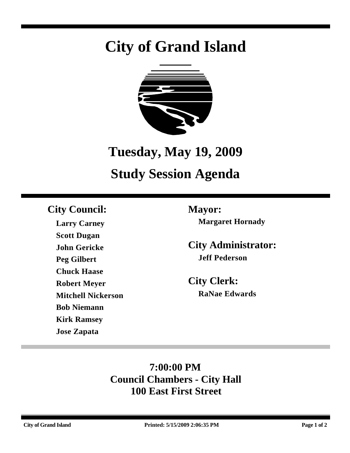# **City of Grand Island**



# **Tuesday, May 19, 2009**

# **Study Session Agenda**

## **City Council: Mayor:**

**Larry Carney Scott Dugan John Gericke Peg Gilbert Chuck Haase Robert Meyer Mitchell Nickerson Bob Niemann Kirk Ramsey Jose Zapata**

**Margaret Hornady**

**City Administrator: Jeff Pederson**

**City Clerk: RaNae Edwards**

## **7:00:00 PM Council Chambers - City Hall 100 East First Street**